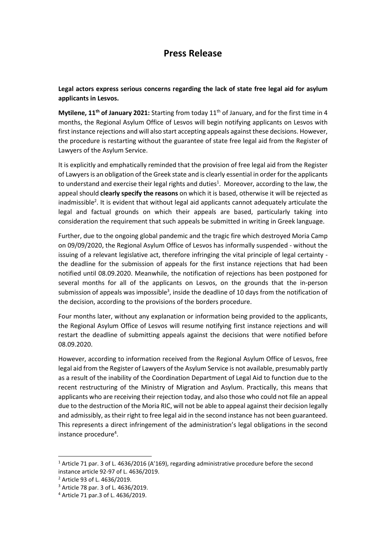## **Press Release**

**Legal actors express serious concerns regarding the lack of state free legal aid for asylum applicants in Lesvos.** 

**Mytilene, 11<sup>th</sup> of January 2021:** Starting from today 11<sup>th</sup> of January, and for the first time in 4 months, the Regional Asylum Office of Lesvos will begin notifying applicants on Lesvos with first instance rejections and will also start accepting appeals against these decisions. However, the procedure is restarting without the guarantee of state free legal aid from the Register of Lawyers of the Asylum Service.

It is explicitly and emphatically reminded that the provision of free legal aid from the Register of Lawyers is an obligation of the Greek state and is clearly essential in order for the applicants to understand and exercise their legal rights and duties<sup>1</sup>. Moreover, according to the law, the appeal should **clearly specify the reasons** on which it is based, otherwise it will be rejected as inadmissible<sup>2</sup>. It is evident that without legal aid applicants cannot adequately articulate the legal and factual grounds on which their appeals are based, particularly taking into consideration the requirement that such appeals be submitted in writing in Greek language.

Further, due to the ongoing global pandemic and the tragic fire which destroyed Moria Camp on 09/09/2020, the Regional Asylum Office of Lesvos has informally suspended - without the issuing of a relevant legislative act, therefore infringing the vital principle of legal certainty the deadline for the submission of appeals for the first instance rejections that had been notified until 08.09.2020. Meanwhile, the notification of rejections has been postponed for several months for all of the applicants on Lesvos, on the grounds that the in-person submission of appeals was impossible<sup>3</sup>, inside the deadline of 10 days from the notification of the decision, according to the provisions of the borders procedure.

Four months later, without any explanation or information being provided to the applicants, the Regional Asylum Office of Lesvos will resume notifying first instance rejections and will restart the deadline of submitting appeals against the decisions that were notified before 08.09.2020.

However, according to information received from the Regional Asylum Office of Lesvos, free legal aid from the Register of Lawyers of the Asylum Service is not available, presumably partly as a result of the inability of the Coordination Department of Legal Aid to function due to the recent restructuring of the Ministry of Migration and Asylum. Practically, this means that applicants who are receiving their rejection today, and also those who could not file an appeal due to the destruction of the Moria RIC, will not be able to appeal against their decision legally and admissibly, as their right to free legal aid in the second instance has not been guaranteed. This represents a direct infringement of the administration's legal obligations in the second instance procedure<sup>4</sup>.

 $\overline{\phantom{a}}$ 

<sup>&</sup>lt;sup>1</sup> Article 71 par. 3 of L. 4636/2016 (A'169), regarding administrative procedure before the second instance article 92-97 of L. 4636/2019.

<sup>2</sup> Article 93 of L. 4636/2019.

<sup>3</sup> Article 78 par. 3 of L. 4636/2019.

<sup>4</sup> Article 71 par.3 of L. 4636/2019.